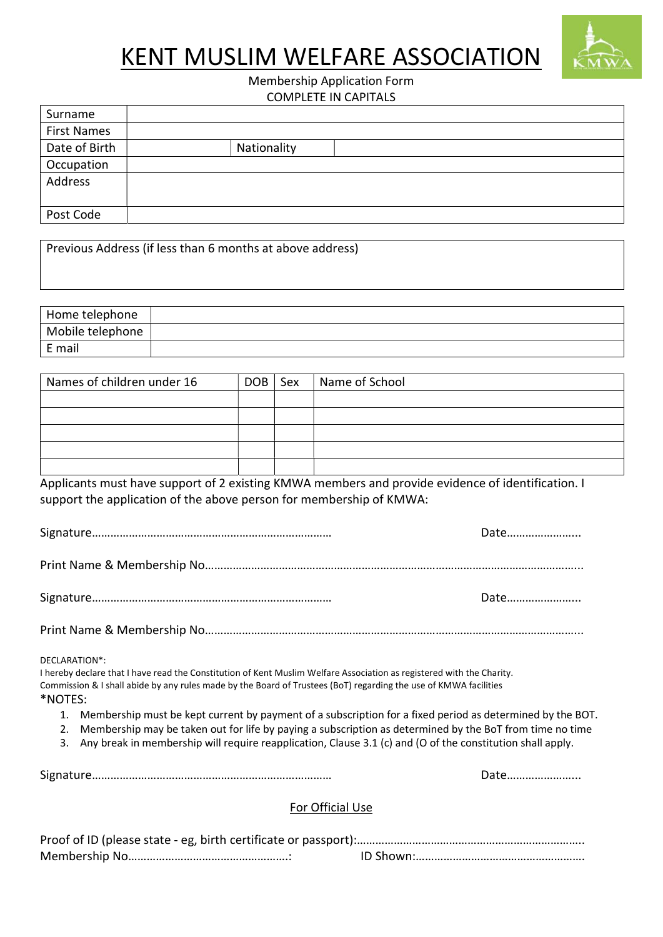## KENT MUSLIM WELFARE ASSOCIATION



## Membership Application Form COMPLETE IN CAPITALS

| Surname            |             |
|--------------------|-------------|
| <b>First Names</b> |             |
| Date of Birth      | Nationality |
| Occupation         |             |
| Address            |             |
|                    |             |
| Post Code          |             |

| Previous Address (if less than 6 months at above address) |  |
|-----------------------------------------------------------|--|
|-----------------------------------------------------------|--|

| Home telephone   |  |
|------------------|--|
| Mobile telephone |  |
| E mail           |  |

| Names of children under 16 | $DOB$ $\vert$ Sex | Name of School |
|----------------------------|-------------------|----------------|
|                            |                   |                |
|                            |                   |                |
|                            |                   |                |
|                            |                   |                |
|                            |                   |                |

Applicants must have support of 2 existing KMWA members and provide evidence of identification. I support the application of the above person for membership of KMWA:

| Date |
|------|
|      |

| 175. |  |
|------|--|
|------|--|

Print Name & Membership No…………………………………………………………………………………………………………...

DECLARATION\*:

I hereby declare that I have read the Constitution of Kent Muslim Welfare Association as registered with the Charity. Commission & I shall abide by any rules made by the Board of Trustees (BoT) regarding the use of KMWA facilities \*NOTES:

- 1. Membership must be kept current by payment of a subscription for a fixed period as determined by the BOT.
- 2. Membership may be taken out for life by paying a subscription as determined by the BoT from time no time
- 3. Any break in membership will require reapplication, Clause 3.1 (c) and (O of the constitution shall apply.

Signature…………………………………………………………………… Date…………………...

## For Official Use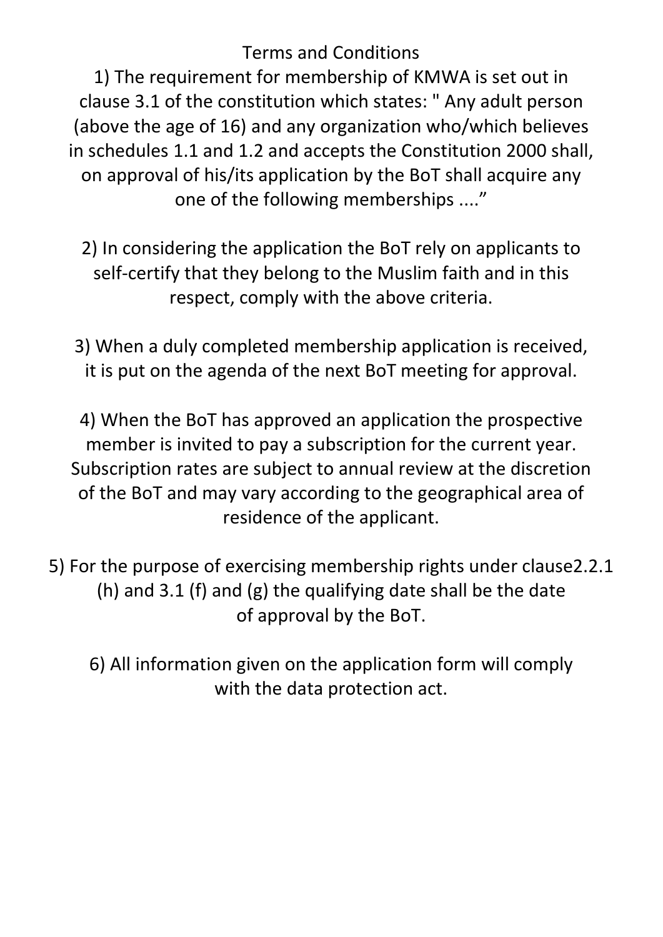Terms and Conditions

1) The requirement for membership of KMWA is set out in clause 3.1 of the constitution which states: " Any adult person (above the age of 16) and any organization who/which believes in schedules 1.1 and 1.2 and accepts the Constitution 2000 shall, on approval of his/its application by the BoT shall acquire any one of the following memberships ...."

2) In considering the application the BoT rely on applicants to self-certify that they belong to the Muslim faith and in this respect, comply with the above criteria.

3) When a duly completed membership application is received, it is put on the agenda of the next BoT meeting for approval.

4) When the BoT has approved an application the prospective member is invited to pay a subscription for the current year. Subscription rates are subject to annual review at the discretion of the BoT and may vary according to the geographical area of residence of the applicant.

5) For the purpose of exercising membership rights under clause2.2.1 (h) and 3.1 (f) and (g) the qualifying date shall be the date of approval by the BoT.

6) All information given on the application form will comply with the data protection act.